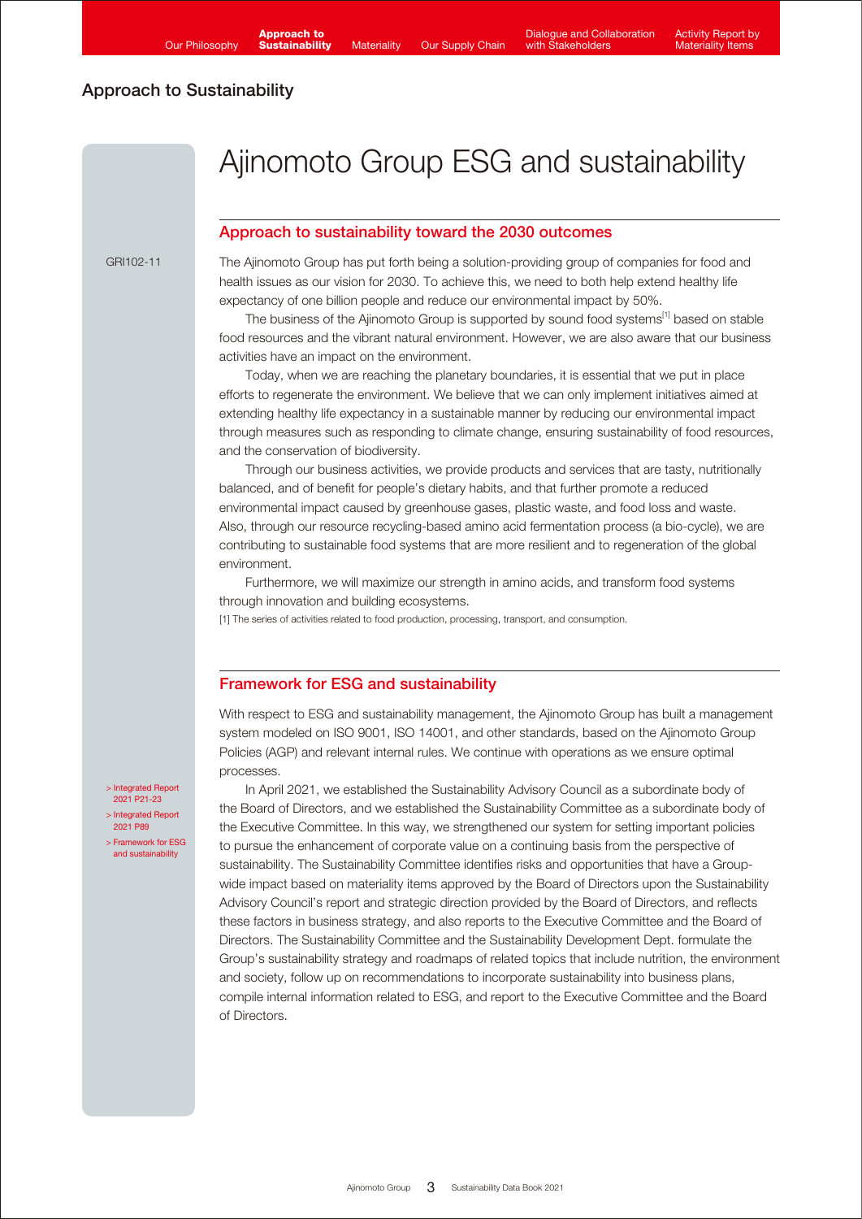Approach to sustainability toward the 2030 outcomes

## Approach to Sustainability

# Ajinomoto Group ESG and sustainability

#### GRI102-11

The Ajinomoto Group has put forth being a solution-providing group of companies for food and health issues as our vision for 2030. To achieve this, we need to both help extend healthy life expectancy of one billion people and reduce our environmental impact by 50%.

The business of the Ajinomoto Group is supported by sound food systems<sup>[1]</sup> based on stable food resources and the vibrant natural environment. However, we are also aware that our business activities have an impact on the environment.

 Today, when we are reaching the planetary boundaries, it is essential that we put in place efforts to regenerate the environment. We believe that we can only implement initiatives aimed at extending healthy life expectancy in a sustainable manner by reducing our environmental impact through measures such as responding to climate change, ensuring sustainability of food resources, and the conservation of biodiversity.

 Through our business activities, we provide products and services that are tasty, nutritionally balanced, and of benefit for people's dietary habits, and that further promote a reduced environmental impact caused by greenhouse gases, plastic waste, and food loss and waste. Also, through our resource recycling-based amino acid fermentation process (a bio-cycle), we are contributing to sustainable food systems that are more resilient and to regeneration of the global environment.

 Furthermore, we will maximize our strength in amino acids, and transform food systems through innovation and building ecosystems.

[1] The series of activities related to food production, processing, transport, and consumption.

#### Framework for ESG and sustainability

With respect to ESG and sustainability management, the Ajinomoto Group has built a management system modeled on ISO 9001, ISO 14001, and other standards, based on the Ajinomoto Group Policies (AGP) and relevant internal rules. We continue with operations as we ensure optimal processes.

[> Integrated Report](https://www.ajinomoto.co.jp/company/en/ir/library/annual/main/08/teaserItems1/00/linkList/0/link/Integrated%20Report%202021_E_A4.pdf#page=22)  2021 P21-23

[> Integrated Report](https://www.ajinomoto.co.jp/company/en/ir/library/annual/main/08/teaserItems1/00/linkList/0/link/Integrated%20Report%202021_E_A4.pdf#page=90)  2021 P89

[> Framework for ESG](https://www.ajinomoto.com/sustainability/framework/index.php) and sustainability

 In April 2021, we established the Sustainability Advisory Council as a subordinate body of the Board of Directors, and we established the Sustainability Committee as a subordinate body of the Executive Committee. In this way, we strengthened our system for setting important policies to pursue the enhancement of corporate value on a continuing basis from the perspective of sustainability. The Sustainability Committee identifies risks and opportunities that have a Groupwide impact based on materiality items approved by the Board of Directors upon the Sustainability Advisory Council's report and strategic direction provided by the Board of Directors, and reflects these factors in business strategy, and also reports to the Executive Committee and the Board of Directors. The Sustainability Committee and the Sustainability Development Dept. formulate the Group's sustainability strategy and roadmaps of related topics that include nutrition, the environment and society, follow up on recommendations to incorporate sustainability into business plans, compile internal information related to ESG, and report to the Executive Committee and the Board of Directors.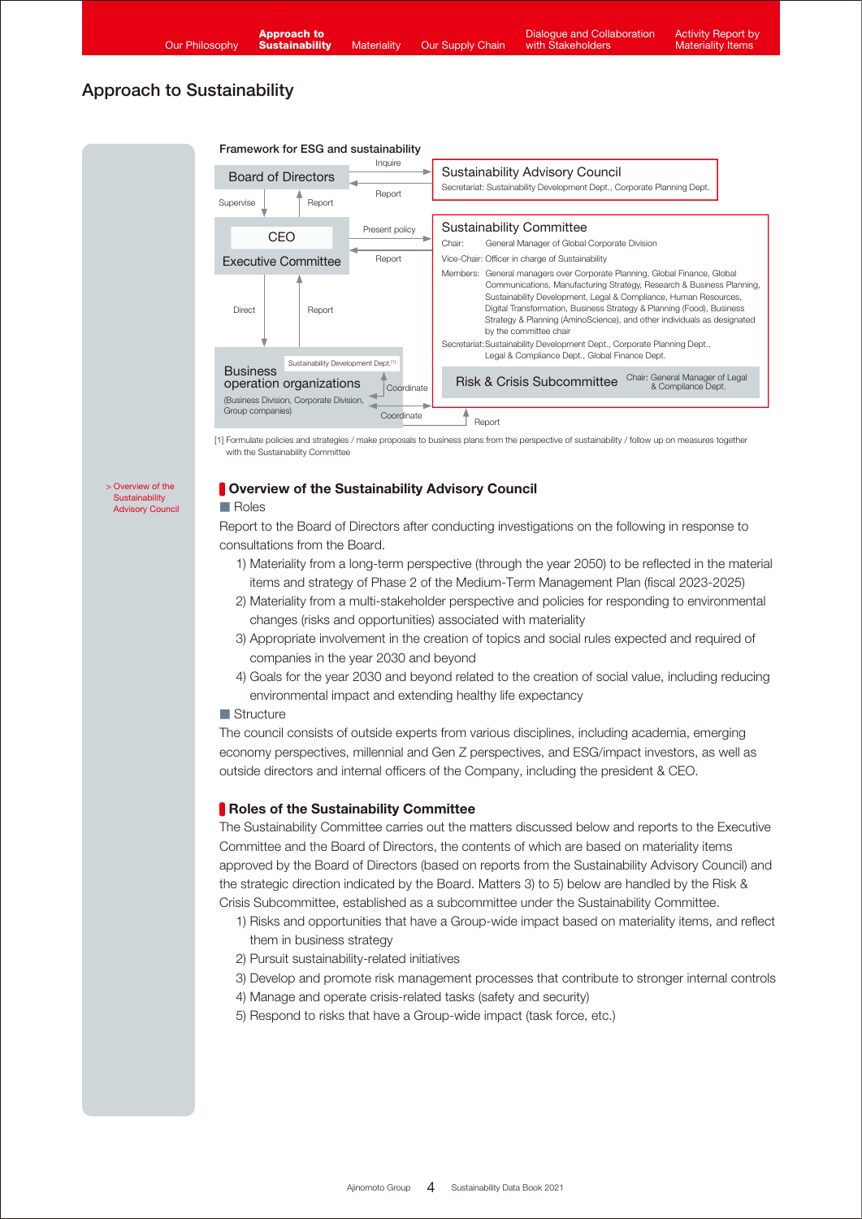# Approach to Sustainability



[1] Formulate policies and strategies / make proposals to business plans from the perspective of sustainability / follow up on measures together with the Sustainability Committee

[> Overview of the](https://www.ajinomoto.com/sustainability/framework/advisory_council.php)  **Sustainability** Advisory Council

## **Overview of the Sustainability Advisory Council**

# ■ Roles

Report to the Board of Directors after conducting investigations on the following in response to consultations from the Board.

- 1) Materiality from a long-term perspective (through the year 2050) to be reflected in the material items and strategy of Phase 2 of the Medium-Term Management Plan (fiscal 2023-2025)
- 2) Materiality from a multi-stakeholder perspective and policies for responding to environmental changes (risks and opportunities) associated with materiality
- 3) Appropriate involvement in the creation of topics and social rules expected and required of companies in the year 2030 and beyond
- 4) Goals for the year 2030 and beyond related to the creation of social value, including reducing environmental impact and extending healthy life expectancy

#### ■ Structure

The council consists of outside experts from various disciplines, including academia, emerging economy perspectives, millennial and Gen Z perspectives, and ESG/impact investors, as well as outside directors and internal officers of the Company, including the president & CEO.

#### Roles of the Sustainability Committee

The Sustainability Committee carries out the matters discussed below and reports to the Executive Committee and the Board of Directors, the contents of which are based on materiality items approved by the Board of Directors (based on reports from the Sustainability Advisory Council) and the strategic direction indicated by the Board. Matters 3) to 5) below are handled by the Risk & Crisis Subcommittee, established as a subcommittee under the Sustainability Committee.

- 1) Risks and opportunities that have a Group-wide impact based on materiality items, and reflect them in business strategy
- 2) Pursuit sustainability-related initiatives
- 3) Develop and promote risk management processes that contribute to stronger internal controls
- 4) Manage and operate crisis-related tasks (safety and security)
- 5) Respond to risks that have a Group-wide impact (task force, etc.)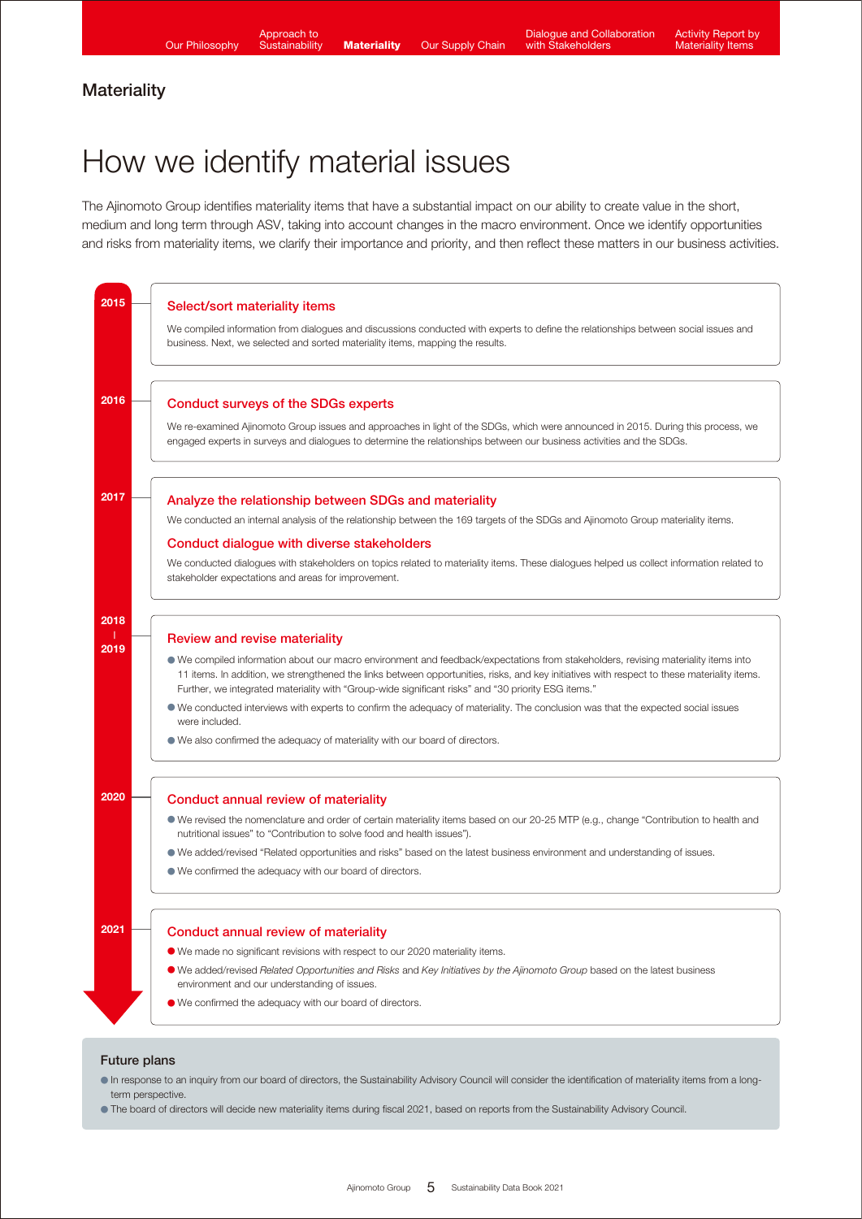## **Materiality**

# How we identify material issues

The Ajinomoto Group identifies materiality items that have a substantial impact on our ability to create value in the short, medium and long term through ASV, taking into account changes in the macro environment. Once we identify opportunities and risks from materiality items, we clarify their importance and priority, and then reflect these matters in our business activities.



#### Future plans

In response to an inquiry from our board of directors, the Sustainability Advisory Council will consider the identification of materiality items from a longterm perspective.

● The board of directors will decide new materiality items during fiscal 2021, based on reports from the Sustainability Advisory Council.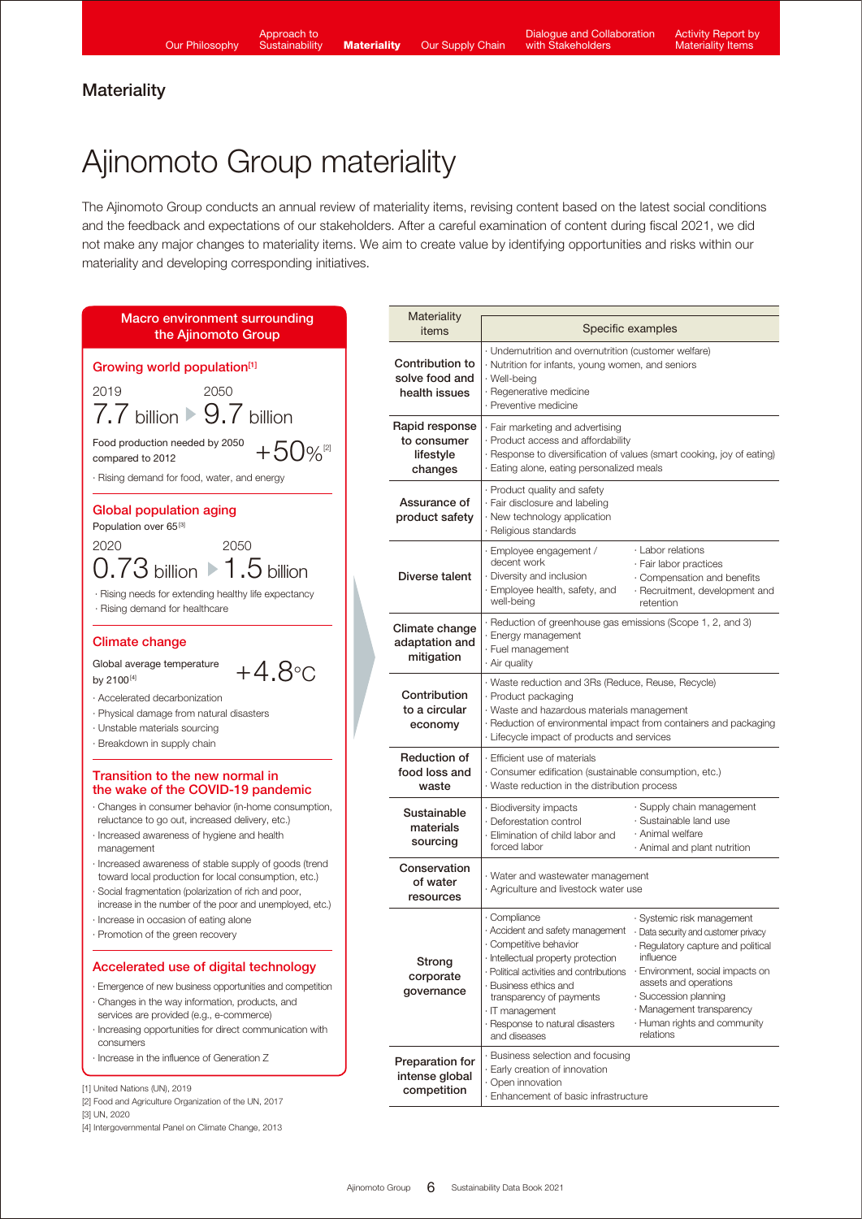# **Materiality**

# Ajinomoto Group materiality

The Ajinomoto Group conducts an annual review of materiality items, revising content based on the latest social conditions and the feedback and expectations of our stakeholders. After a careful examination of content during fiscal 2021, we did not make any major changes to materiality items. We aim to create value by identifying opportunities and risks within our materiality and developing corresponding initiatives.

| <b>Macro environment surrounding</b><br>the Ajinomoto Group                                                                                                                                                                                                 | Materiality<br>items                                  |
|-------------------------------------------------------------------------------------------------------------------------------------------------------------------------------------------------------------------------------------------------------------|-------------------------------------------------------|
| Growing world population <sup>[1]</sup><br>2019<br>2050<br>$7.7$ billion $\triangleright$ $9.7$ billion                                                                                                                                                     | Contribution to<br>solve food and<br>health issues    |
| Food production needed by 2050<br>$+50\%$ <sup>[2]</sup><br>compared to 2012<br>· Rising demand for food, water, and energy                                                                                                                                 | Rapid response<br>to consumer<br>lifestyle<br>changes |
| <b>Global population aging</b><br>Population over 65[3]                                                                                                                                                                                                     | Assurance of<br>product safety                        |
| 2050<br>2020<br>$0.73$ billion $\blacktriangleright$ 1 $.5$ billion<br>· Rising needs for extending healthy life expectancy<br>· Rising demand for healthcare                                                                                               | Diverse talent                                        |
| <b>Climate change</b><br>Global average temperature<br>+4.8°c                                                                                                                                                                                               | Climate change<br>adaptation and<br>mitigation        |
| by 2100[4]<br>· Accelerated decarbonization<br>· Physical damage from natural disasters<br>· Unstable materials sourcing                                                                                                                                    | Contribution<br>to a circular<br>economy              |
| · Breakdown in supply chain<br>Transition to the new normal in<br>the wake of the COVID-19 pandemic                                                                                                                                                         | <b>Reduction of</b><br>food loss and<br>waste         |
| · Changes in consumer behavior (in-home consumption,<br>reluctance to go out, increased delivery, etc.)<br>Increased awareness of hygiene and health<br>management                                                                                          | Sustainable<br>materials<br>sourcing                  |
| · Increased awareness of stable supply of goods (trend<br>toward local production for local consumption, etc.)<br>· Social fragmentation (polarization of rich and poor,<br>increase in the number of the poor and unemployed, etc.)                        | Conservation<br>of water<br>resources                 |
| · Increase in occasion of eating alone<br>· Promotion of the green recovery                                                                                                                                                                                 |                                                       |
| Accelerated use of digital technology<br>· Emergence of new business opportunities and competition<br>Changes in the way information, products, and<br>services are provided (e.g., e-commerce)<br>· Increasing opportunities for direct communication with | Strong<br>corporate<br>governance                     |
| consumers<br>Increase in the influence of Generation Z                                                                                                                                                                                                      | Preparation for<br>intense global                     |
| [1] United Nations (UN), 2019<br>[2] Food and Agriculture Organization of the UN, 2017<br>[3] UN, 2020                                                                                                                                                      | competition                                           |
| [4] Intergovernmental Panel on Climate Change, 2013                                                                                                                                                                                                         |                                                       |

| Materiality<br>items                                  | Specific examples                                                                                                                                                                                                                                                                                                                                                                                                                                                                                                                                                                |  |  |  |
|-------------------------------------------------------|----------------------------------------------------------------------------------------------------------------------------------------------------------------------------------------------------------------------------------------------------------------------------------------------------------------------------------------------------------------------------------------------------------------------------------------------------------------------------------------------------------------------------------------------------------------------------------|--|--|--|
| Contribution to<br>solve food and<br>health issues    | · Undernutrition and overnutrition (customer welfare)<br>· Nutrition for infants, young women, and seniors<br>· Well-being<br>· Regenerative medicine<br>· Preventive medicine                                                                                                                                                                                                                                                                                                                                                                                                   |  |  |  |
| Rapid response<br>to consumer<br>lifestyle<br>changes | · Fair marketing and advertising<br>· Product access and affordability<br>· Response to diversification of values (smart cooking, joy of eating)<br>· Eating alone, eating personalized meals                                                                                                                                                                                                                                                                                                                                                                                    |  |  |  |
| Assurance of<br>product safety                        | · Product quality and safety<br>· Fair disclosure and labeling<br>· New technology application<br>· Religious standards                                                                                                                                                                                                                                                                                                                                                                                                                                                          |  |  |  |
| Diverse talent                                        | · Labor relations<br>· Employee engagement /<br>decent work<br>· Fair labor practices<br>· Diversity and inclusion<br>Compensation and benefits<br>· Employee health, safety, and<br>· Recruitment, development and<br>well-being<br>retention                                                                                                                                                                                                                                                                                                                                   |  |  |  |
| Climate change<br>adaptation and<br>mitigation        | · Reduction of greenhouse gas emissions (Scope 1, 2, and 3)<br>· Energy management<br>· Fuel management<br>· Air quality                                                                                                                                                                                                                                                                                                                                                                                                                                                         |  |  |  |
| Contribution<br>to a circular<br>economy              | · Waste reduction and 3Rs (Reduce, Reuse, Recycle)<br>· Product packaging<br>· Waste and hazardous materials management<br>· Reduction of environmental impact from containers and packaging<br>· Lifecycle impact of products and services                                                                                                                                                                                                                                                                                                                                      |  |  |  |
| <b>Reduction of</b><br>food loss and<br>waste         | · Efficient use of materials<br>Consumer edification (sustainable consumption, etc.)<br>· Waste reduction in the distribution process                                                                                                                                                                                                                                                                                                                                                                                                                                            |  |  |  |
| Sustainable<br>materials<br>sourcing                  | · Supply chain management<br>· Biodiversity impacts<br>· Sustainable land use<br>· Deforestation control<br>· Animal welfare<br>· Elimination of child labor and<br>forced labor<br>· Animal and plant nutrition                                                                                                                                                                                                                                                                                                                                                                 |  |  |  |
| Conservation<br>of water<br>resources                 | · Water and wastewater management<br>· Agriculture and livestock water use                                                                                                                                                                                                                                                                                                                                                                                                                                                                                                       |  |  |  |
| Strong<br>corporate<br>governance                     | · Compliance<br>· Systemic risk management<br>· Accident and safety management<br>· Data security and customer privacy<br>· Competitive behavior<br>· Regulatory capture and political<br>· Intellectual property protection<br>influence<br>· Environment, social impacts on<br>· Political activities and contributions<br>assets and operations<br>· Business ethics and<br>· Succession planning<br>transparency of payments<br>· Management transparency<br>· IT management<br>· Human rights and community<br>· Response to natural disasters<br>relations<br>and diseases |  |  |  |
| Preparation for<br>intense global<br>competition      | · Business selection and focusing<br>· Early creation of innovation<br>· Open innovation<br>· Enhancement of basic infrastructure                                                                                                                                                                                                                                                                                                                                                                                                                                                |  |  |  |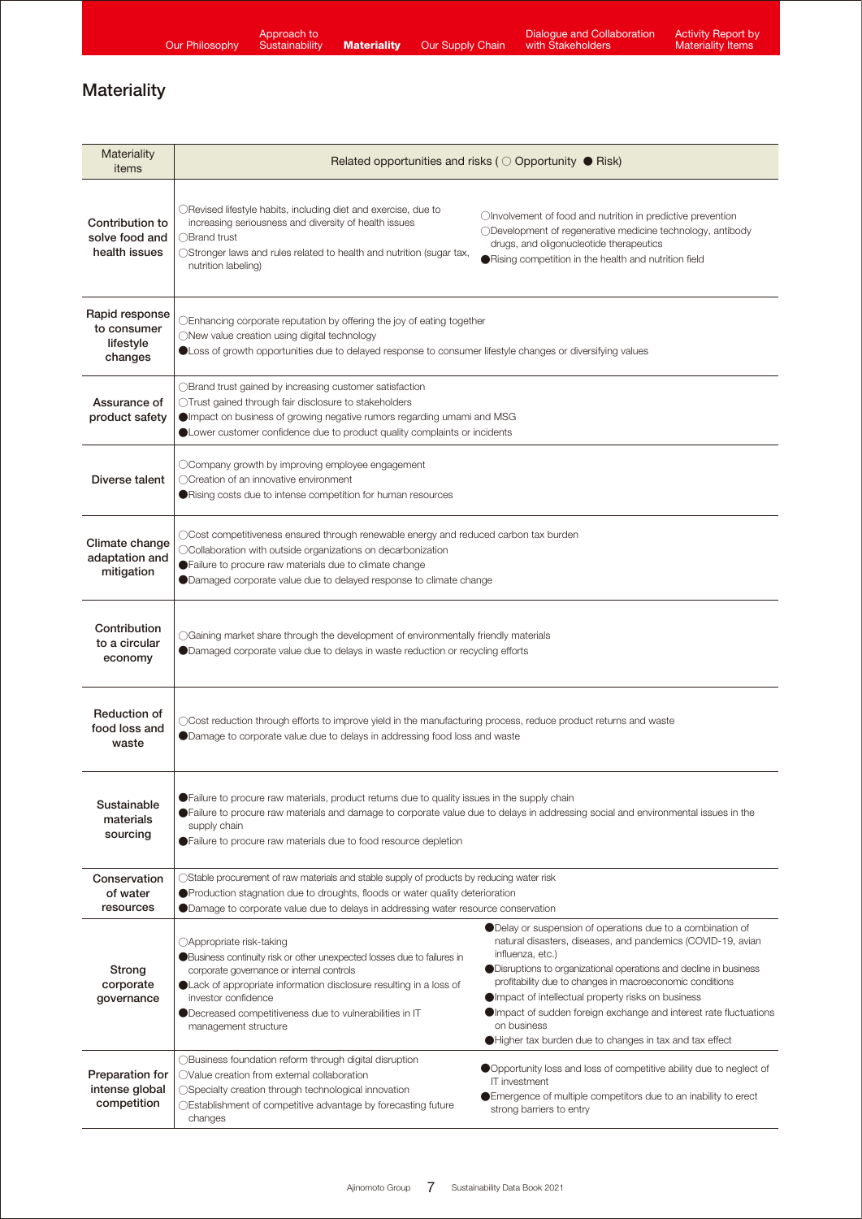| Materiality<br>items                                  | Related opportunities and risks ( $\bigcirc$ Opportunity $\bigcirc$ Risk)                                                                                                                                                                                                                                                         |                                                                                                                                                                                                                                                                                                                                                                                                                                                                                    |  |  |
|-------------------------------------------------------|-----------------------------------------------------------------------------------------------------------------------------------------------------------------------------------------------------------------------------------------------------------------------------------------------------------------------------------|------------------------------------------------------------------------------------------------------------------------------------------------------------------------------------------------------------------------------------------------------------------------------------------------------------------------------------------------------------------------------------------------------------------------------------------------------------------------------------|--|--|
| Contribution to<br>solve food and<br>health issues    | ○Revised lifestyle habits, including diet and exercise, due to<br>increasing seriousness and diversity of health issues<br>◯Brand trust<br>○Stronger laws and rules related to health and nutrition (sugar tax,<br>nutrition labeling)                                                                                            | Olnvolvement of food and nutrition in predictive prevention<br>○Development of regenerative medicine technology, antibody<br>drugs, and oligonucleotide therapeutics<br>Rising competition in the health and nutrition field                                                                                                                                                                                                                                                       |  |  |
| Rapid response<br>to consumer<br>lifestyle<br>changes | $\bigcirc$ Enhancing corporate reputation by offering the joy of eating together<br>ONew value creation using digital technology<br><b>OLOSS</b> of growth opportunities due to delayed response to consumer lifestyle changes or diversifying values                                                                             |                                                                                                                                                                                                                                                                                                                                                                                                                                                                                    |  |  |
| Assurance of<br>product safety                        | ◯Brand trust gained by increasing customer satisfaction<br>OTrust gained through fair disclosure to stakeholders<br>Olmpact on business of growing negative rumors regarding umami and MSG<br>CLower customer confidence due to product quality complaints or incidents                                                           |                                                                                                                                                                                                                                                                                                                                                                                                                                                                                    |  |  |
| Diverse talent                                        | ○ Company growth by improving employee engagement<br>○ Creation of an innovative environment<br>● Rising costs due to intense competition for human resources                                                                                                                                                                     |                                                                                                                                                                                                                                                                                                                                                                                                                                                                                    |  |  |
| Climate change<br>adaptation and<br>mitigation        | $\bigcirc$ Cost competitiveness ensured through renewable energy and reduced carbon tax burden<br>OCollaboration with outside organizations on decarbonization<br>● Failure to procure raw materials due to climate change<br>● Damaged corporate value due to delayed response to climate change                                 |                                                                                                                                                                                                                                                                                                                                                                                                                                                                                    |  |  |
| Contribution<br>to a circular<br>economy              | ○ Gaining market share through the development of environmentally friendly materials<br>● Damaged corporate value due to delays in waste reduction or recycling efforts                                                                                                                                                           |                                                                                                                                                                                                                                                                                                                                                                                                                                                                                    |  |  |
| <b>Reduction of</b><br>food loss and<br>waste         | ○Cost reduction through efforts to improve yield in the manufacturing process, reduce product returns and waste<br>● Damage to corporate value due to delays in addressing food loss and waste                                                                                                                                    |                                                                                                                                                                                                                                                                                                                                                                                                                                                                                    |  |  |
| Sustainable<br>materials<br>sourcing                  | • Failure to procure raw materials, product returns due to quality issues in the supply chain<br>• Failure to procure raw materials and damage to corporate value due to delays in addressing social and environmental issues in the<br>supply chain<br>● Failure to procure raw materials due to food resource depletion         |                                                                                                                                                                                                                                                                                                                                                                                                                                                                                    |  |  |
| Conservation<br>of water<br>resources                 | $\bigcirc$ Stable procurement of raw materials and stable supply of products by reducing water risk<br>● Production stagnation due to droughts, floods or water quality deterioration<br>● Damage to corporate value due to delays in addressing water resource conservation                                                      |                                                                                                                                                                                                                                                                                                                                                                                                                                                                                    |  |  |
| Strong<br>corporate<br>governance                     | ○ Appropriate risk-taking<br>Business continuity risk or other unexpected losses due to failures in<br>corporate governance or internal controls<br>CLack of appropriate information disclosure resulting in a loss of<br>investor confidence<br>● Decreased competitiveness due to vulnerabilities in IT<br>management structure | ● Delay or suspension of operations due to a combination of<br>natural disasters, diseases, and pandemics (COVID-19, avian<br>influenza, etc.)<br>ODisruptions to organizational operations and decline in business<br>profitability due to changes in macroeconomic conditions<br>Olmpact of intellectual property risks on business<br>Impact of sudden foreign exchange and interest rate fluctuations<br>on business<br>Higher tax burden due to changes in tax and tax effect |  |  |
| Preparation for<br>intense global<br>competition      | ◯Business foundation reform through digital disruption<br>◯Value creation from external collaboration<br>○Specialty creation through technological innovation<br>○ Establishment of competitive advantage by forecasting future<br>changes                                                                                        | Opportunity loss and loss of competitive ability due to neglect of<br>IT investment<br>Emergence of multiple competitors due to an inability to erect<br>strong barriers to entry                                                                                                                                                                                                                                                                                                  |  |  |

Our Philosophy Sustainability **Materiality** Our Supply Chain

Approach to Sustainability

Dialogue and Collaboration Activity Report by<br>
with Stakeholders Materiality Items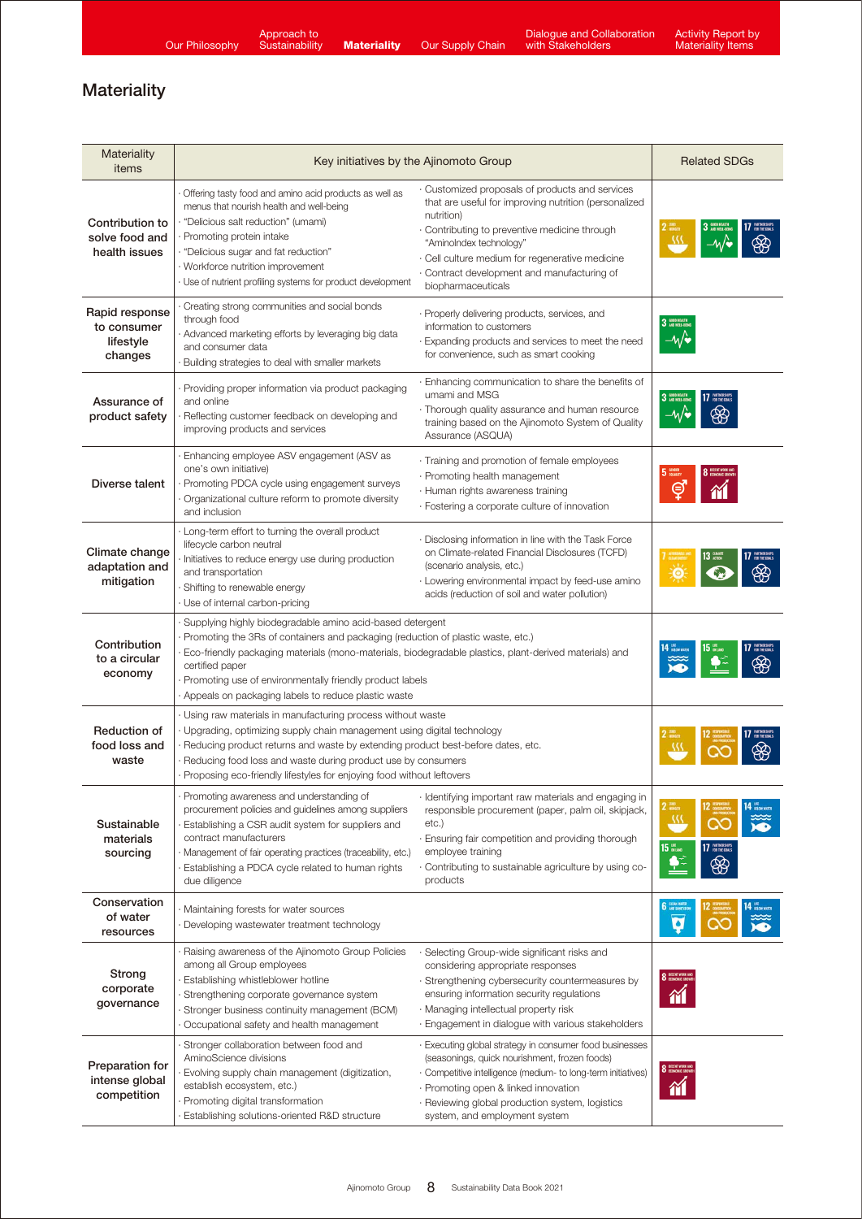# **Materiality**

| <b>Materiality</b><br>items                           | Key initiatives by the Ajinomoto Group                                                                                                                                                                                                                                                                                                                                                            |                                                                                                                                                                                                                                                                                                                      | <b>Related SDGs</b> |
|-------------------------------------------------------|---------------------------------------------------------------------------------------------------------------------------------------------------------------------------------------------------------------------------------------------------------------------------------------------------------------------------------------------------------------------------------------------------|----------------------------------------------------------------------------------------------------------------------------------------------------------------------------------------------------------------------------------------------------------------------------------------------------------------------|---------------------|
| Contribution to<br>solve food and<br>health issues    | Offering tasty food and amino acid products as well as<br>menus that nourish health and well-being<br>· "Delicious salt reduction" (umami)<br>· Promoting protein intake<br>· "Delicious sugar and fat reduction"<br>· Workforce nutrition improvement<br>· Use of nutrient profiling systems for product development                                                                             | Customized proposals of products and services<br>that are useful for improving nutrition (personalized<br>nutrition)<br>Contributing to preventive medicine through<br>"AminoIndex technology"<br>· Cell culture medium for regenerative medicine<br>Contract development and manufacturing of<br>biopharmaceuticals | w                   |
| Rapid response<br>to consumer<br>lifestyle<br>changes | Creating strong communities and social bonds<br>through food<br>Advanced marketing efforts by leveraging big data<br>and consumer data<br>Building strategies to deal with smaller markets                                                                                                                                                                                                        | · Properly delivering products, services, and<br>information to customers<br>Expanding products and services to meet the need<br>for convenience, such as smart cooking                                                                                                                                              |                     |
| Assurance of<br>product safety                        | · Providing proper information via product packaging<br>and online<br>Reflecting customer feedback on developing and<br>improving products and services                                                                                                                                                                                                                                           | Enhancing communication to share the benefits of<br>umami and MSG<br>Thorough quality assurance and human resource<br>training based on the Ajinomoto System of Quality<br>Assurance (ASQUA)                                                                                                                         |                     |
| Diverse talent                                        | Enhancing employee ASV engagement (ASV as<br>one's own initiative)<br>Promoting PDCA cycle using engagement surveys<br>Organizational culture reform to promote diversity<br>and inclusion                                                                                                                                                                                                        | Training and promotion of female employees<br>· Promoting health management<br>· Human rights awareness training<br>· Fostering a corporate culture of innovation                                                                                                                                                    | Θ                   |
| Climate change<br>adaptation and<br>mitigation        | · Long-term effort to turning the overall product<br>lifecycle carbon neutral<br>Initiatives to reduce energy use during production<br>and transportation<br>Shifting to renewable energy<br>· Use of internal carbon-pricing                                                                                                                                                                     | · Disclosing information in line with the Task Force<br>on Climate-related Financial Disclosures (TCFD)<br>(scenario analysis, etc.)<br>· Lowering environmental impact by feed-use amino<br>acids (reduction of soil and water pollution)                                                                           |                     |
| Contribution<br>to a circular<br>economy              | · Supplying highly biodegradable amino acid-based detergent<br>· Promoting the 3Rs of containers and packaging (reduction of plastic waste, etc.)<br>Eco-friendly packaging materials (mono-materials, biodegradable plastics, plant-derived materials) and<br>certified paper<br>Promoting use of environmentally friendly product labels<br>Appeals on packaging labels to reduce plastic waste |                                                                                                                                                                                                                                                                                                                      |                     |
| <b>Reduction of</b><br>food loss and<br>waste         | · Using raw materials in manufacturing process without waste<br>· Upgrading, optimizing supply chain management using digital technology<br>Reducing product returns and waste by extending product best-before dates, etc.<br>Reducing food loss and waste during product use by consumers<br>· Proposing eco-friendly lifestyles for enjoying food without leftovers                            |                                                                                                                                                                                                                                                                                                                      |                     |
| Sustainable<br>materials<br>sourcing                  | · Promoting awareness and understanding of<br>procurement policies and guidelines among suppliers<br>Establishing a CSR audit system for suppliers and<br>contract manufacturers<br>· Management of fair operating practices (traceability, etc.)<br>Establishing a PDCA cycle related to human rights<br>due diligence                                                                           | · Identifying important raw materials and engaging in<br>responsible procurement (paper, palm oil, skipjack,<br>$etc.$ )<br>Ensuring fair competition and providing thorough<br>employee training<br>Contributing to sustainable agriculture by using co-<br>products                                                | $\omega$<br>15 ihre |
| Conservation<br>of water<br>resources                 | Maintaining forests for water sources<br>Developing wastewater treatment technology                                                                                                                                                                                                                                                                                                               |                                                                                                                                                                                                                                                                                                                      | Ø                   |
| Strong<br>corporate<br>governance                     | Raising awareness of the Ajinomoto Group Policies<br>among all Group employees<br>Establishing whistleblower hotline<br>Strengthening corporate governance system<br>Stronger business continuity management (BCM)<br>Occupational safety and health management                                                                                                                                   | Selecting Group-wide significant risks and<br>considering appropriate responses<br>· Strengthening cybersecurity countermeasures by<br>ensuring information security regulations<br>· Managing intellectual property risk<br>Engagement in dialogue with various stakeholders                                        |                     |
| Preparation for<br>intense global<br>competition      | Stronger collaboration between food and<br>AminoScience divisions<br>Evolving supply chain management (digitization,<br>establish ecosystem, etc.)<br>Promoting digital transformation<br>Establishing solutions-oriented R&D structure                                                                                                                                                           | · Executing global strategy in consumer food businesses<br>(seasonings, quick nourishment, frozen foods)<br>· Competitive intelligence (medium- to long-term initiatives)<br>· Promoting open & linked innovation<br>· Reviewing global production system, logistics<br>system, and employment system                | M                   |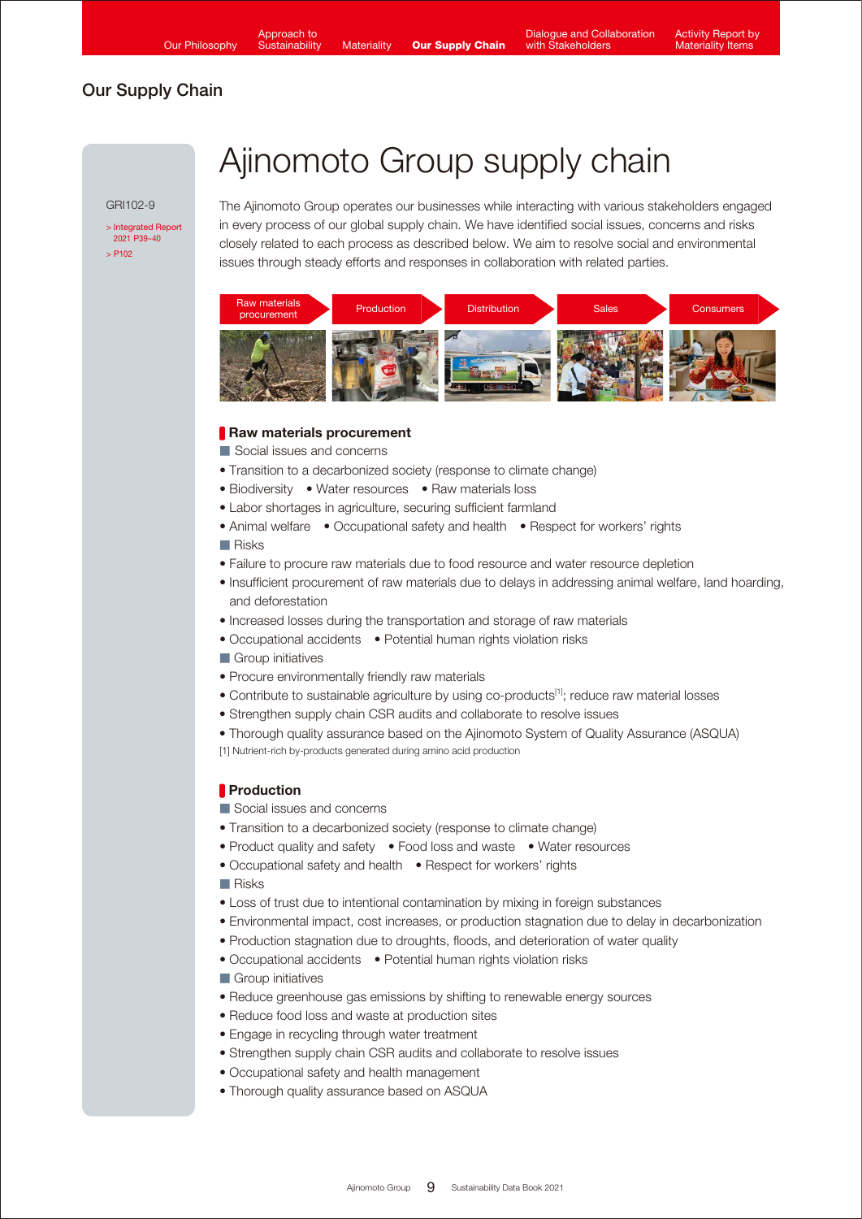Approach to **Sustainability** 

Ajinomoto Group supply chain

# Our Supply Chain

GRI102-9

[> Integrated Report](https://www.ajinomoto.co.jp/company/en/ir/library/annual/main/08/teaserItems1/00/linkList/0/link/Integrated%20Report%202021_E_A4.pdf#page=40)  2021 P39-40  $\sim$  P<sub>102</sub>

The Ajinomoto Group operates our businesses while interacting with various stakeholders engaged in every process of our global supply chain. We have identified social issues, concerns and risks closely related to each process as described below. We aim to resolve social and environmental issues through steady efforts and responses in collaboration with related parties.



#### Raw materials procurement

- Social issues and concerns
- Transition to a decarbonized society (response to climate change)
- Biodiversity Water resources Raw materials loss
- Labor shortages in agriculture, securing sufficient farmland
- Animal welfare Occupational safety and health Respect for workers' rights
- Risks
- Failure to procure raw materials due to food resource and water resource depletion
- Insufficient procurement of raw materials due to delays in addressing animal welfare, land hoarding, and deforestation
- Increased losses during the transportation and storage of raw materials
- Occupational accidents Potential human rights violation risks
- Group initiatives
- Procure environmentally friendly raw materials
- Contribute to sustainable agriculture by using co-products<sup>[1]</sup>; reduce raw material losses
- Strengthen supply chain CSR audits and collaborate to resolve issues
- Thorough quality assurance based on the Ajinomoto System of Quality Assurance (ASQUA) [1] Nutrient-rich by-products generated during amino acid production

#### **Production**

■ Social issues and concerns

- Transition to a decarbonized society (response to climate change)
- Product quality and safety Food loss and waste Water resources
- Occupational safety and health Respect for workers' rights
- Risks
- Loss of trust due to intentional contamination by mixing in foreign substances
- Environmental impact, cost increases, or production stagnation due to delay in decarbonization
- Production stagnation due to droughts, floods, and deterioration of water quality
- Occupational accidents Potential human rights violation risks
- Group initiatives
- Reduce greenhouse gas emissions by shifting to renewable energy sources
- Reduce food loss and waste at production sites
- Engage in recycling through water treatment
- Strengthen supply chain CSR audits and collaborate to resolve issues
- Occupational safety and health management
- Thorough quality assurance based on ASQUA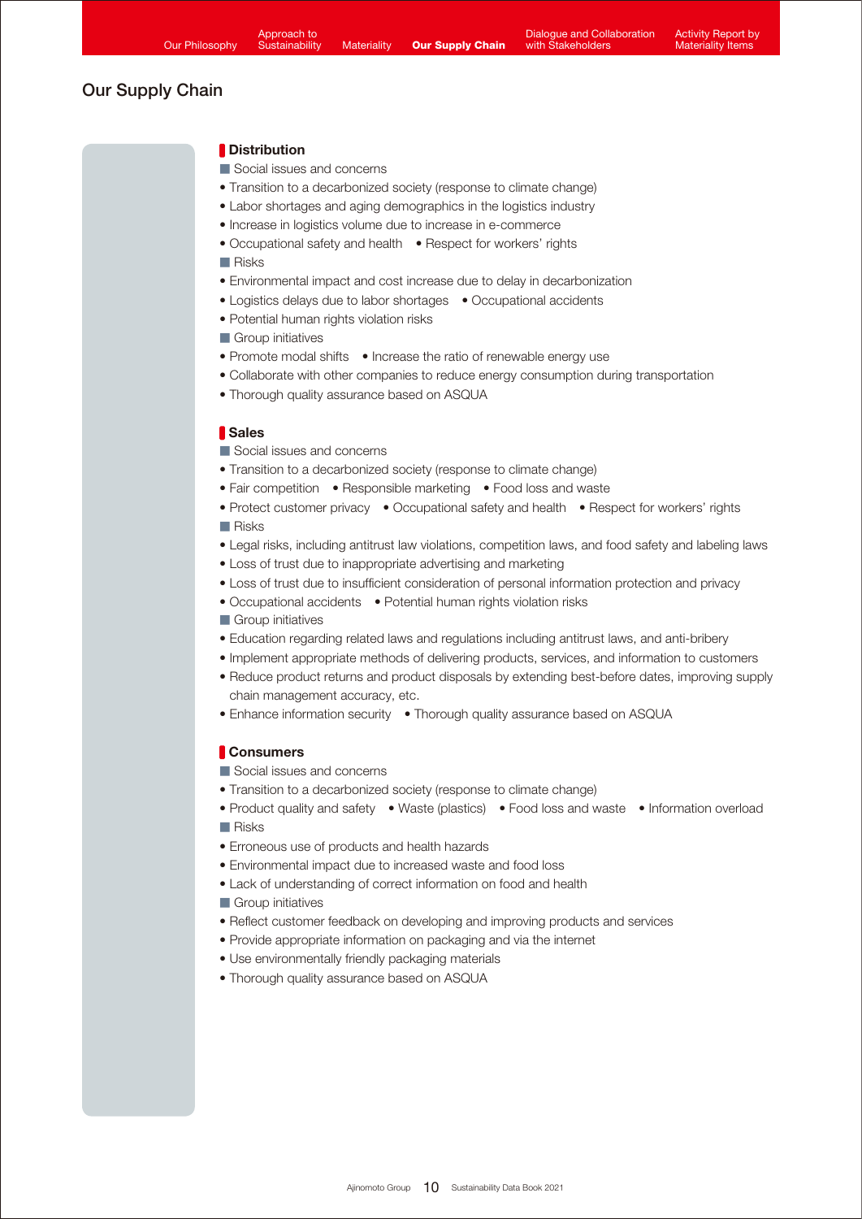# Our Supply Chain

#### **Distribution**

- Social issues and concerns
- Transition to a decarbonized society (response to climate change)
- Labor shortages and aging demographics in the logistics industry
- Increase in logistics volume due to increase in e-commerce
- Occupational safety and health Respect for workers' rights
- Risks
- Environmental impact and cost increase due to delay in decarbonization
- Logistics delays due to labor shortages Occupational accidents
- Potential human rights violation risks
- Group initiatives
- Promote modal shifts Increase the ratio of renewable energy use
- Collaborate with other companies to reduce energy consumption during transportation
- Thorough quality assurance based on ASQUA

#### **Sales**

- Social issues and concerns
- Transition to a decarbonized society (response to climate change)
- Fair competition Responsible marketing Food loss and waste
- Protect customer privacy Occupational safety and health Respect for workers' rights
- Risks
- Legal risks, including antitrust law violations, competition laws, and food safety and labeling laws
- Loss of trust due to inappropriate advertising and marketing
- Loss of trust due to insufficient consideration of personal information protection and privacy
- Occupational accidents Potential human rights violation risks
- Group initiatives
- Education regarding related laws and regulations including antitrust laws, and anti-bribery
- Implement appropriate methods of delivering products, services, and information to customers
- Reduce product returns and product disposals by extending best-before dates, improving supply chain management accuracy, etc.
- Enhance information security Thorough quality assurance based on ASQUA

#### Consumers

- Social issues and concerns
- Transition to a decarbonized society (response to climate change)
- Product quality and safety Waste (plastics) Food loss and waste Information overload
- Risks
- Erroneous use of products and health hazards
- Environmental impact due to increased waste and food loss
- Lack of understanding of correct information on food and health
- Group initiatives
- Reflect customer feedback on developing and improving products and services
- Provide appropriate information on packaging and via the internet
- Use environmentally friendly packaging materials
- Thorough quality assurance based on ASQUA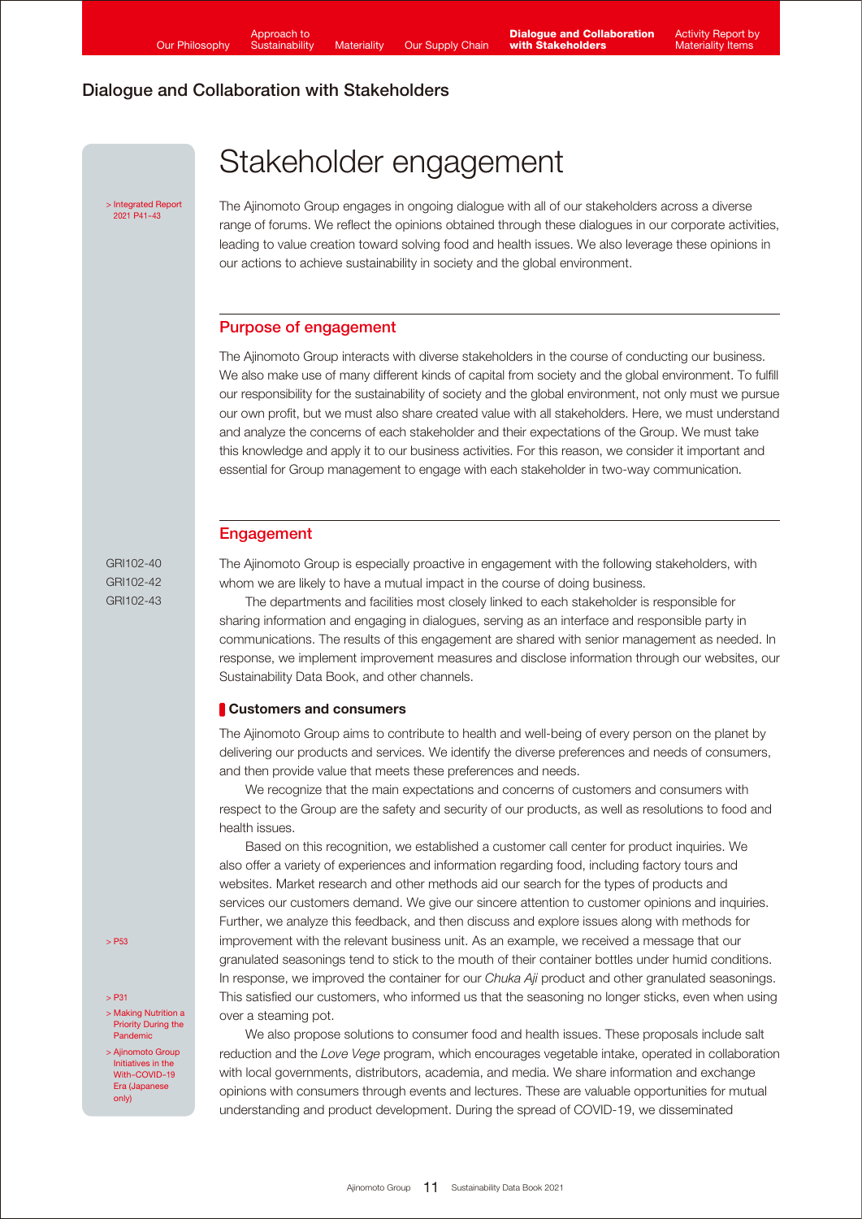[> Integrated Report](https://www.ajinomoto.co.jp/company/en/ir/library/annual/main/08/teaserItems1/00/linkList/0/link/Integrated%20Report%202021_E_A4.pdf#page=42)  2021 P41-43

# Stakeholder engagement

The Ajinomoto Group engages in ongoing dialogue with all of our stakeholders across a diverse range of forums. We reflect the opinions obtained through these dialogues in our corporate activities, leading to value creation toward solving food and health issues. We also leverage these opinions in our actions to achieve sustainability in society and the global environment.

#### Purpose of engagement

The Ajinomoto Group interacts with diverse stakeholders in the course of conducting our business. We also make use of many different kinds of capital from society and the global environment. To fulfill our responsibility for the sustainability of society and the global environment, not only must we pursue our own profit, but we must also share created value with all stakeholders. Here, we must understand and analyze the concerns of each stakeholder and their expectations of the Group. We must take this knowledge and apply it to our business activities. For this reason, we consider it important and essential for Group management to engage with each stakeholder in two-way communication.

#### **Engagement**

GRI102-40 GRI102-42 GRI102-43 The Ajinomoto Group is especially proactive in engagement with the following stakeholders, with whom we are likely to have a mutual impact in the course of doing business.

 The departments and facilities most closely linked to each stakeholder is responsible for sharing information and engaging in dialogues, serving as an interface and responsible party in communications. The results of this engagement are shared with senior management as needed. In response, we implement improvement measures and disclose information through our websites, our Sustainability Data Book, and other channels.

#### **Customers and consumers**

The Ajinomoto Group aims to contribute to health and well-being of every person on the planet by delivering our products and services. We identify the diverse preferences and needs of consumers, and then provide value that meets these preferences and needs.

 We recognize that the main expectations and concerns of customers and consumers with respect to the Group are the safety and security of our products, as well as resolutions to food and health issues.

 Based on this recognition, we established a customer call center for product inquiries. We also offer a variety of experiences and information regarding food, including factory tours and websites. Market research and other methods aid our search for the types of products and services our customers demand. We give our sincere attention to customer opinions and inquiries. Further, we analyze this feedback, and then discuss and explore issues along with methods for improvement with the relevant business unit. As an example, we received a message that our granulated seasonings tend to stick to the mouth of their container bottles under humid conditions. In response, we improved the container for our *Chuka Aji* product and other granulated seasonings. This satisfied our customers, who informed us that the seasoning no longer sticks, even when using over a steaming pot.

 We also propose solutions to consumer food and health issues. These proposals include salt reduction and the *Love Vege* program, which encourages vegetable intake, operated in collaboration with local governments, distributors, academia, and media. We share information and exchange opinions with consumers through events and lectures. These are valuable opportunities for mutual understanding and product development. During the spread of COVID-19, we disseminated

[> P53](https://www.ajinomoto.com/sustainability/pdf/2021/SDB2021en_safety.pdf#page=7)

[> P31](https://www.ajinomoto.com/sustainability/pdf/2021/SDB2021en_food.pdf#page=12)

- [> Making Nutrition a](https://www.ajinomoto.com/nutrition/making-nutrition-a-priority-during-the-pandemic)  Priority During the **Pandemic**
- > Ajinomoto Group Initiatives in th [With-COVID-19](https://www.ajinomoto.co.jp/company/jp/aboutus/covid-19/) Era (Japanese only)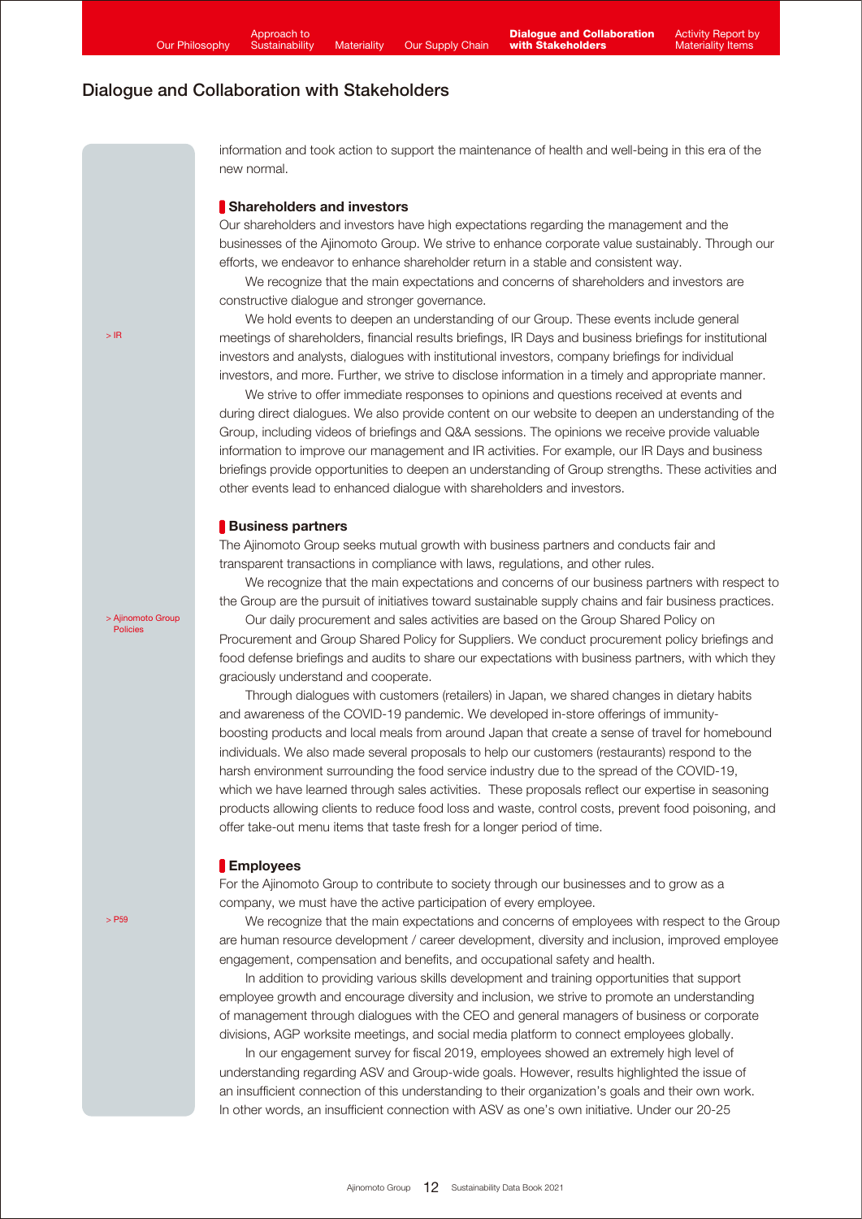information and took action to support the maintenance of health and well-being in this era of the new normal.

#### **Shareholders and investors**

Our shareholders and investors have high expectations regarding the management and the businesses of the Ajinomoto Group. We strive to enhance corporate value sustainably. Through our efforts, we endeavor to enhance shareholder return in a stable and consistent way.

 We recognize that the main expectations and concerns of shareholders and investors are constructive dialogue and stronger governance.

 We hold events to deepen an understanding of our Group. These events include general meetings of shareholders, financial results briefings, IR Days and business briefings for institutional investors and analysts, dialogues with institutional investors, company briefings for individual investors, and more. Further, we strive to disclose information in a timely and appropriate manner.

 We strive to offer immediate responses to opinions and questions received at events and during direct dialogues. We also provide content on our website to deepen an understanding of the Group, including videos of briefings and Q&A sessions. The opinions we receive provide valuable information to improve our management and IR activities. For example, our IR Days and business briefings provide opportunities to deepen an understanding of Group strengths. These activities and other events lead to enhanced dialogue with shareholders and investors.

#### **Business partners**

The Ajinomoto Group seeks mutual growth with business partners and conducts fair and transparent transactions in compliance with laws, regulations, and other rules.

 We recognize that the main expectations and concerns of our business partners with respect to the Group are the pursuit of initiatives toward sustainable supply chains and fair business practices.

 Our daily procurement and sales activities are based on the Group Shared Policy on Procurement and Group Shared Policy for Suppliers. We conduct procurement policy briefings and food defense briefings and audits to share our expectations with business partners, with which they graciously understand and cooperate.

 Through dialogues with customers (retailers) in Japan, we shared changes in dietary habits and awareness of the COVID-19 pandemic. We developed in-store offerings of immunityboosting products and local meals from around Japan that create a sense of travel for homebound individuals. We also made several proposals to help our customers (restaurants) respond to the harsh environment surrounding the food service industry due to the spread of the COVID-19, which we have learned through sales activities. These proposals reflect our expertise in seasoning products allowing clients to reduce food loss and waste, control costs, prevent food poisoning, and offer take-out menu items that taste fresh for a longer period of time.

#### **Employees**

For the Ajinomoto Group to contribute to society through our businesses and to grow as a company, we must have the active participation of every employee.

 We recognize that the main expectations and concerns of employees with respect to the Group are human resource development / career development, diversity and inclusion, improved employee engagement, compensation and benefits, and occupational safety and health.

 In addition to providing various skills development and training opportunities that support employee growth and encourage diversity and inclusion, we strive to promote an understanding of management through dialogues with the CEO and general managers of business or corporate divisions, AGP worksite meetings, and social media platform to connect employees globally.

 In our engagement survey for fiscal 2019, employees showed an extremely high level of understanding regarding ASV and Group-wide goals. However, results highlighted the issue of an insufficient connection of this understanding to their organization's goals and their own work. In other words, an insufficient connection with ASV as one's own initiative. Under our 20-25

[> IR](https://www.ajinomoto.co.jp/company/en/ir/)

[> Ajinomoto Group](https://www.ajinomoto.com/sustainability/agp/) Policies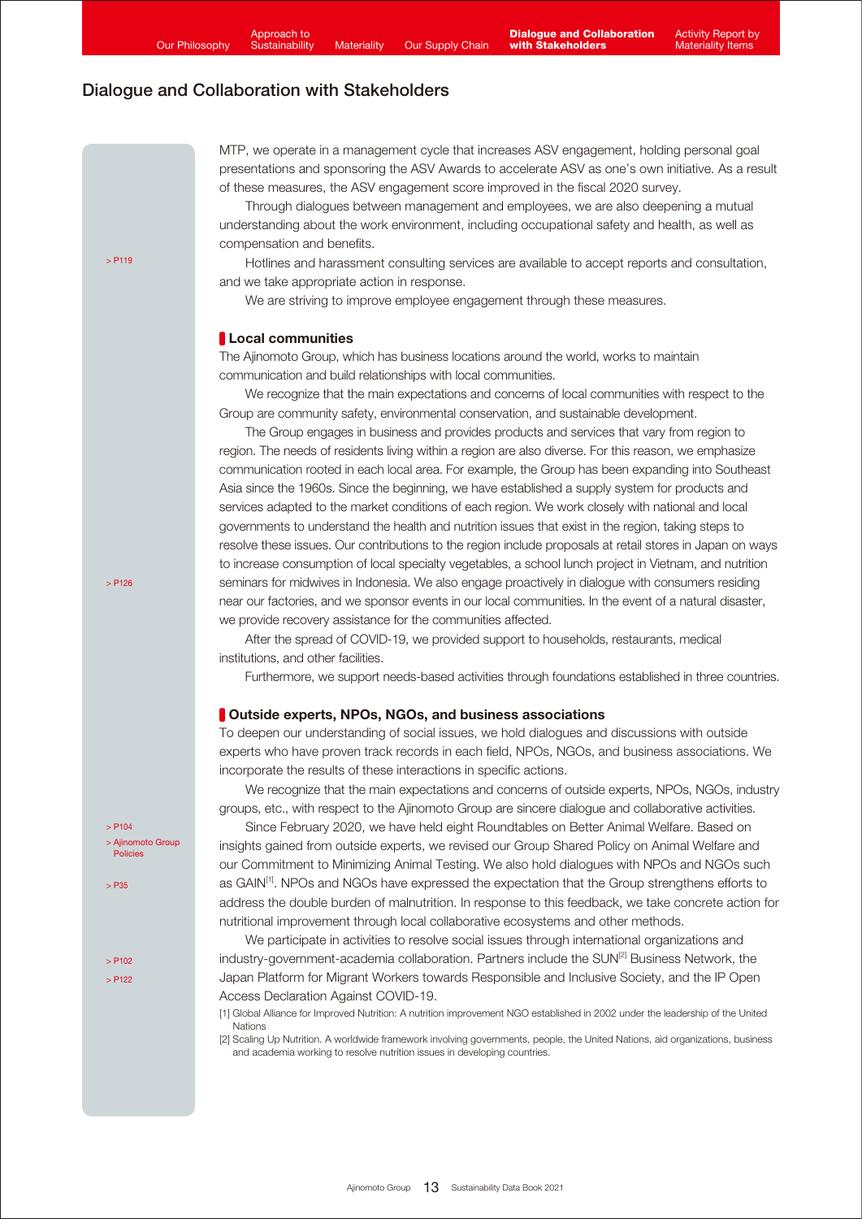MTP, we operate in a management cycle that increases ASV engagement, holding personal goal presentations and sponsoring the ASV Awards to accelerate ASV as one's own initiative. As a result of these measures, the ASV engagement score improved in the fiscal 2020 survey.

 Through dialogues between management and employees, we are also deepening a mutual understanding about the work environment, including occupational safety and health, as well as compensation and benefits.

 Hotlines and harassment consulting services are available to accept reports and consultation, and we take appropriate action in response.

We are striving to improve employee engagement through these measures.

#### **Local communities**

The Ajinomoto Group, which has business locations around the world, works to maintain communication and build relationships with local communities.

 We recognize that the main expectations and concerns of local communities with respect to the Group are community safety, environmental conservation, and sustainable development.

 The Group engages in business and provides products and services that vary from region to region. The needs of residents living within a region are also diverse. For this reason, we emphasize communication rooted in each local area. For example, the Group has been expanding into Southeast Asia since the 1960s. Since the beginning, we have established a supply system for products and services adapted to the market conditions of each region. We work closely with national and local governments to understand the health and nutrition issues that exist in the region, taking steps to resolve these issues. Our contributions to the region include proposals at retail stores in Japan on ways to increase consumption of local specialty vegetables, a school lunch project in Vietnam, and nutrition seminars for midwives in Indonesia. We also engage proactively in dialogue with consumers residing near our factories, and we sponsor events in our local communities. In the event of a natural disaster, we provide recovery assistance for the communities affected.

 After the spread of COVID-19, we provided support to households, restaurants, medical institutions, and other facilities.

Furthermore, we support needs-based activities through foundations established in three countries.

#### **Outside experts, NPOs, NGOs, and business associations**

To deepen our understanding of social issues, we hold dialogues and discussions with outside experts who have proven track records in each field, NPOs, NGOs, and business associations. We incorporate the results of these interactions in specific actions.

 We recognize that the main expectations and concerns of outside experts, NPOs, NGOs, industry groups, etc., with respect to the Ajinomoto Group are sincere dialogue and collaborative activities.

 Since February 2020, we have held eight Roundtables on Better Animal Welfare. Based on insights gained from outside experts, we revised our Group Shared Policy on Animal Welfare and our Commitment to Minimizing Animal Testing. We also hold dialogues with NPOs and NGOs such as GAIN<sup>[1]</sup>. NPOs and NGOs have expressed the expectation that the Group strengthens efforts to address the double burden of malnutrition. In response to this feedback, we take concrete action for nutritional improvement through local collaborative ecosystems and other methods.

 We participate in activities to resolve social issues through international organizations and industry-government-academia collaboration. Partners include the SUN<sup>[2]</sup> Business Network, the Japan Platform for Migrant Workers towards Responsible and Inclusive Society, and the IP Open Access Declaration Against COVID-19.

[1] Global Alliance for Improved Nutrition: A nutrition improvement NGO established in 2002 under the leadership of the United Nations

[2] Scaling Up Nutrition. A worldwide framework involving governments, people, the United Nations, aid organizations, business and academia working to resolve nutrition issues in developing countries.

 $>$  P<sub>104</sub> [> Ajinomoto Group](https://www.ajinomoto.com/sustainability/agp/) Policies [> P35](https://www.ajinomoto.com/sustainability/pdf/2021/SDB2021en_food.pdf#page=16) [> P102](https://www.ajinomoto.com/sustainability/pdf/2021/SDB2021en_sourcing.pdf#page=6) [> P122](https://www.ajinomoto.com/sustainability/pdf/2021/SDB2021en_governance.pdf#page=12)

 $>$  P119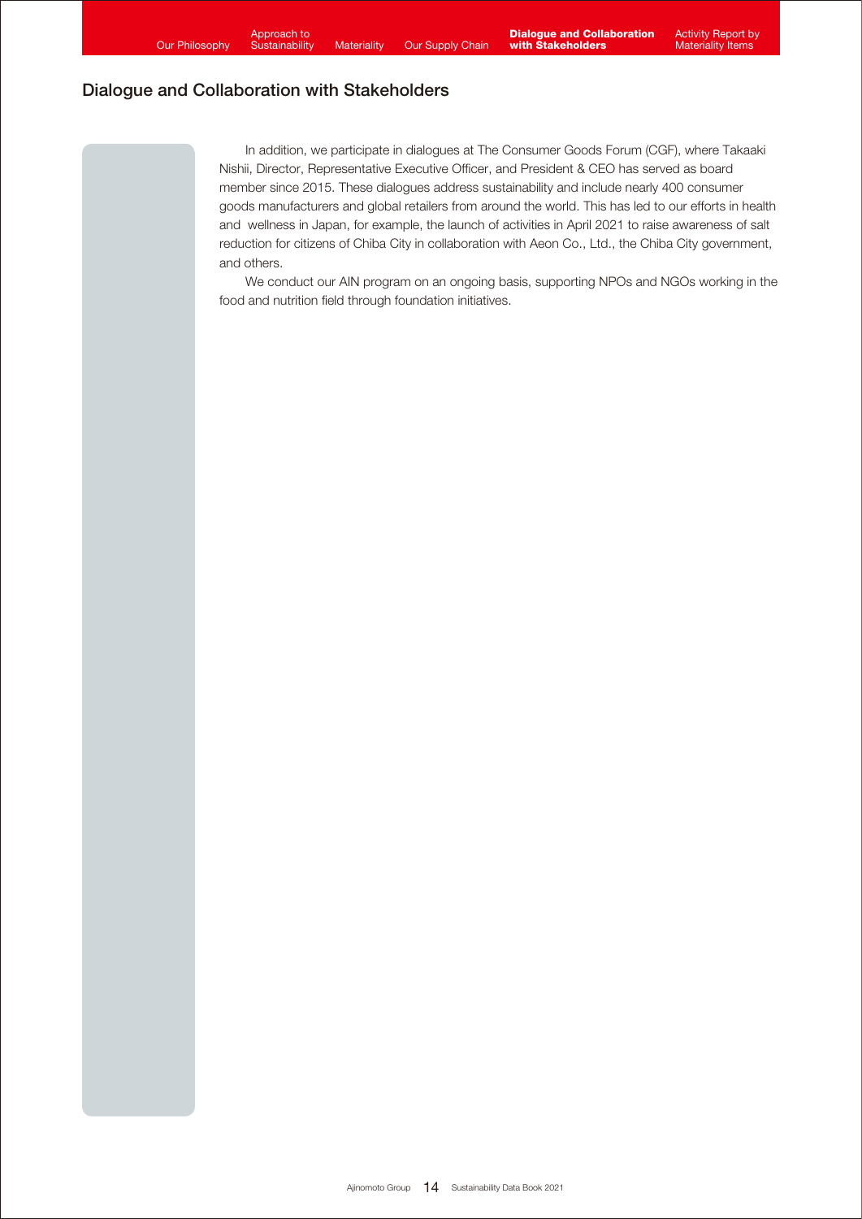In addition, we participate in dialogues at The Consumer Goods Forum (CGF), where Takaaki Nishii, Director, Representative Executive Officer, and President & CEO has served as board member since 2015. These dialogues address sustainability and include nearly 400 consumer goods manufacturers and global retailers from around the world. This has led to our efforts in health and wellness in Japan, for example, the launch of activities in April 2021 to raise awareness of salt reduction for citizens of Chiba City in collaboration with Aeon Co., Ltd., the Chiba City government, and others.

 We conduct our AIN program on an ongoing basis, supporting NPOs and NGOs working in the food and nutrition field through foundation initiatives.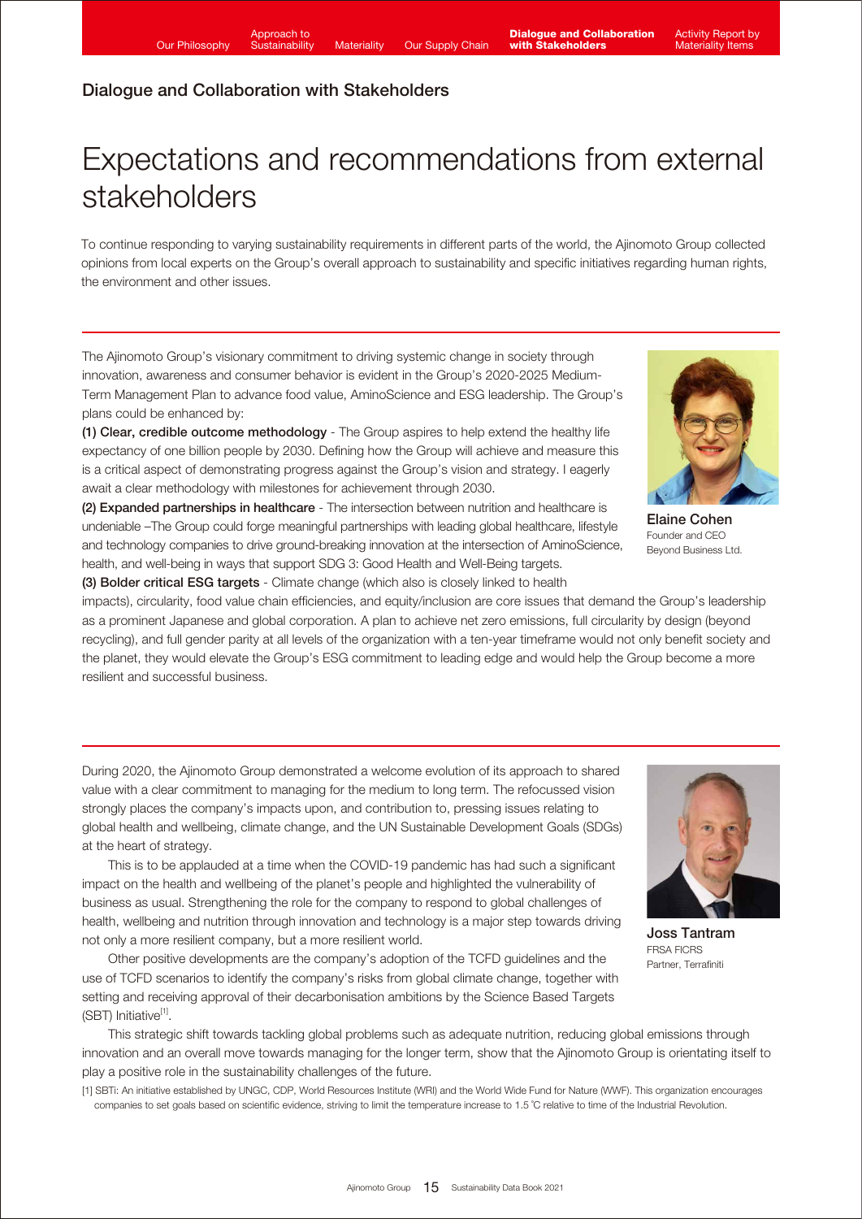# Expectations and recommendations from external stakeholders

To continue responding to varying sustainability requirements in different parts of the world, the Ajinomoto Group collected opinions from local experts on the Group's overall approach to sustainability and specific initiatives regarding human rights, the environment and other issues.

The Ajinomoto Group's visionary commitment to driving systemic change in society through innovation, awareness and consumer behavior is evident in the Group's 2020-2025 Medium-Term Management Plan to advance food value, AminoScience and ESG leadership. The Group's plans could be enhanced by:

(1) Clear, credible outcome methodology - The Group aspires to help extend the healthy life expectancy of one billion people by 2030. Defining how the Group will achieve and measure this is a critical aspect of demonstrating progress against the Group's vision and strategy. I eagerly await a clear methodology with milestones for achievement through 2030.

(2) Expanded partnerships in healthcare - The intersection between nutrition and healthcare is undeniable –The Group could forge meaningful partnerships with leading global healthcare, lifestyle and technology companies to drive ground-breaking innovation at the intersection of AminoScience, health, and well-being in ways that support SDG 3: Good Health and Well-Being targets.

(3) Bolder critical ESG targets - Climate change (which also is closely linked to health

impacts), circularity, food value chain efficiencies, and equity/inclusion are core issues that demand the Group's leadership as a prominent Japanese and global corporation. A plan to achieve net zero emissions, full circularity by design (beyond recycling), and full gender parity at all levels of the organization with a ten-year timeframe would not only benefit society and the planet, they would elevate the Group's ESG commitment to leading edge and would help the Group become a more resilient and successful business.

During 2020, the Ajinomoto Group demonstrated a welcome evolution of its approach to shared value with a clear commitment to managing for the medium to long term. The refocussed vision strongly places the company's impacts upon, and contribution to, pressing issues relating to global health and wellbeing, climate change, and the UN Sustainable Development Goals (SDGs) at the heart of strategy.

 This is to be applauded at a time when the COVID-19 pandemic has had such a significant impact on the health and wellbeing of the planet's people and highlighted the vulnerability of business as usual. Strengthening the role for the company to respond to global challenges of health, wellbeing and nutrition through innovation and technology is a major step towards driving not only a more resilient company, but a more resilient world.

 Other positive developments are the company's adoption of the TCFD guidelines and the use of TCFD scenarios to identify the company's risks from global climate change, together with setting and receiving approval of their decarbonisation ambitions by the Science Based Targets (SBT) Initiative[1].

 This strategic shift towards tackling global problems such as adequate nutrition, reducing global emissions through innovation and an overall move towards managing for the longer term, show that the Ajinomoto Group is orientating itself to play a positive role in the sustainability challenges of the future.

[1] SBTi: An initiative established by UNGC, CDP, World Resources Institute (WRI) and the World Wide Fund for Nature (WWF). This organization encourages companies to set goals based on scientific evidence, striving to limit the temperature increase to 1.5 ˚C relative to time of the Industrial Revolution.



Joss Tantram FRSA FICRS Partner, Terrafiniti



Elaine Cohen Founder and CEO Beyond Business Ltd.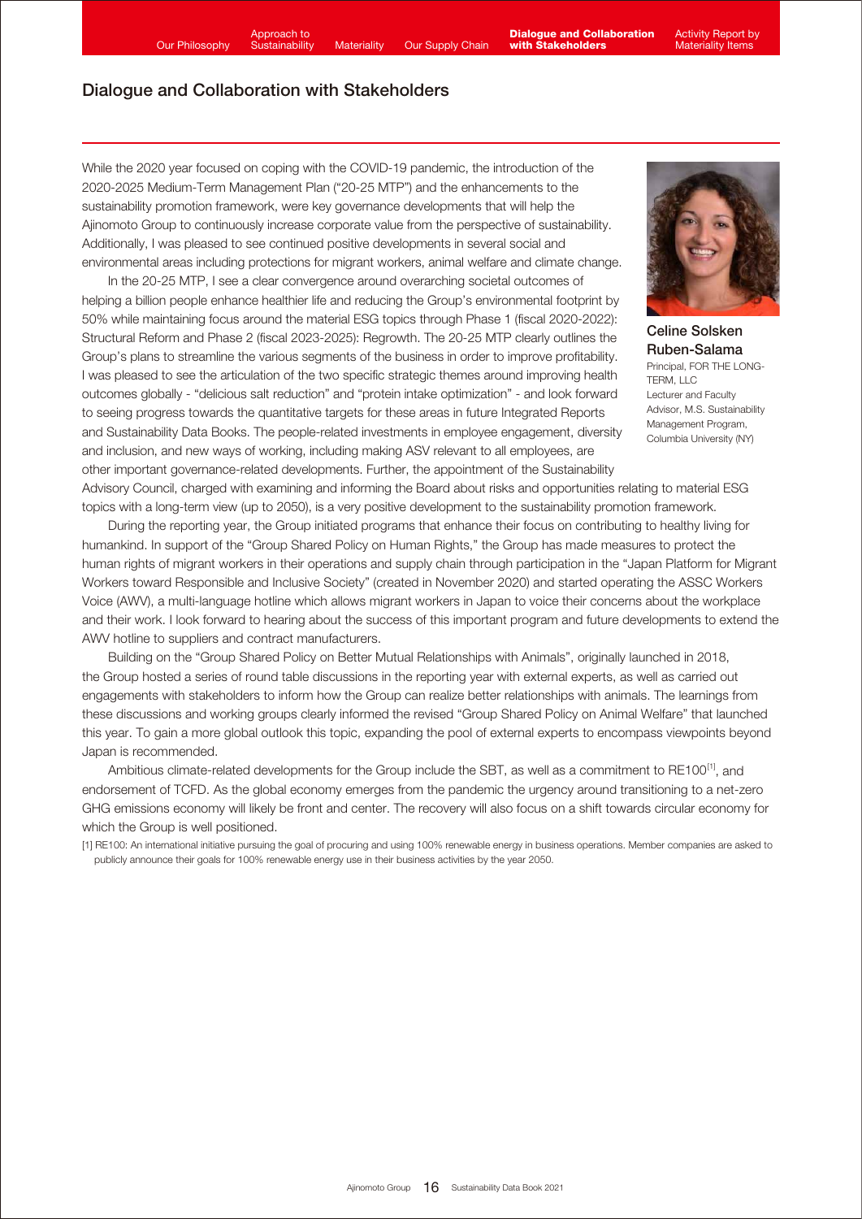While the 2020 year focused on coping with the COVID-19 pandemic, the introduction of the 2020-2025 Medium-Term Management Plan ("20-25 MTP") and the enhancements to the sustainability promotion framework, were key governance developments that will help the Ajinomoto Group to continuously increase corporate value from the perspective of sustainability. Additionally, I was pleased to see continued positive developments in several social and environmental areas including protections for migrant workers, animal welfare and climate change.

In the 20-25 MTP, I see a clear convergence around overarching societal outcomes of helping a billion people enhance healthier life and reducing the Group's environmental footprint by 50% while maintaining focus around the material ESG topics through Phase 1 (fiscal 2020-2022): Structural Reform and Phase 2 (fiscal 2023-2025): Regrowth. The 20-25 MTP clearly outlines the Group's plans to streamline the various segments of the business in order to improve profitability. I was pleased to see the articulation of the two specific strategic themes around improving health outcomes globally - "delicious salt reduction" and "protein intake optimization" - and look forward to seeing progress towards the quantitative targets for these areas in future Integrated Reports and Sustainability Data Books. The people-related investments in employee engagement, diversity and inclusion, and new ways of working, including making ASV relevant to all employees, are other important governance-related developments. Further, the appointment of the Sustainability



Celine Solsken Ruben-Salama Principal, FOR THE LONG-TERM, LLC Lecturer and Faculty Advisor, M.S. Sustainability Management Program Columbia University (NY)

Advisory Council, charged with examining and informing the Board about risks and opportunities relating to material ESG topics with a long-term view (up to 2050), is a very positive development to the sustainability promotion framework.

 During the reporting year, the Group initiated programs that enhance their focus on contributing to healthy living for humankind. In support of the "Group Shared Policy on Human Rights," the Group has made measures to protect the human rights of migrant workers in their operations and supply chain through participation in the "Japan Platform for Migrant Workers toward Responsible and Inclusive Society" (created in November 2020) and started operating the ASSC Workers Voice (AWV), a multi-language hotline which allows migrant workers in Japan to voice their concerns about the workplace and their work. I look forward to hearing about the success of this important program and future developments to extend the AWV hotline to suppliers and contract manufacturers.

 Building on the "Group Shared Policy on Better Mutual Relationships with Animals", originally launched in 2018, the Group hosted a series of round table discussions in the reporting year with external experts, as well as carried out engagements with stakeholders to inform how the Group can realize better relationships with animals. The learnings from these discussions and working groups clearly informed the revised "Group Shared Policy on Animal Welfare" that launched this year. To gain a more global outlook this topic, expanding the pool of external experts to encompass viewpoints beyond Japan is recommended.

Ambitious climate-related developments for the Group include the SBT, as well as a commitment to RE100<sup>[1]</sup>, and endorsement of TCFD. As the global economy emerges from the pandemic the urgency around transitioning to a net-zero GHG emissions economy will likely be front and center. The recovery will also focus on a shift towards circular economy for which the Group is well positioned.

[1] RE100: An international initiative pursuing the goal of procuring and using 100% renewable energy in business operations. Member companies are asked to publicly announce their goals for 100% renewable energy use in their business activities by the year 2050.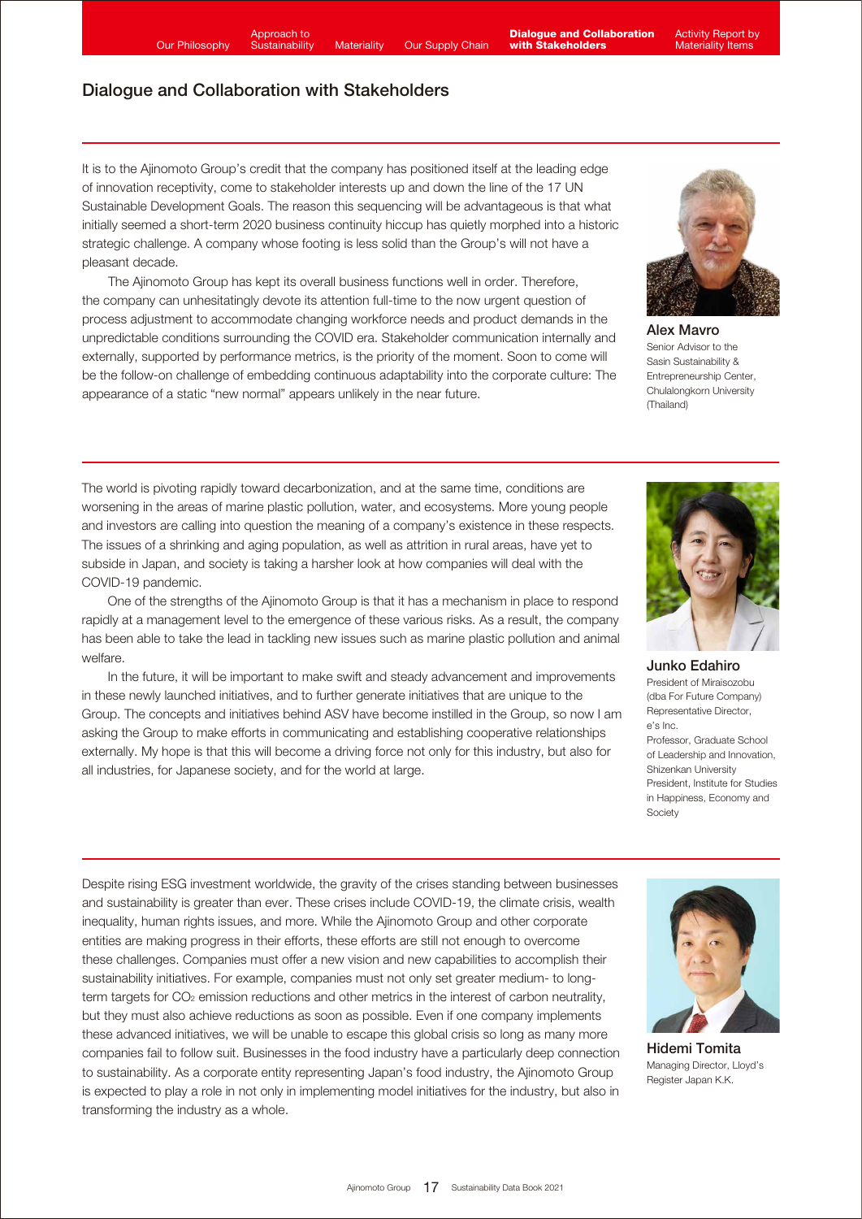welfare.

# Dialogue and Collaboration with Stakeholders

It is to the Ajinomoto Group's credit that the company has positioned itself at the leading edge of innovation receptivity, come to stakeholder interests up and down the line of the 17 UN Sustainable Development Goals. The reason this sequencing will be advantageous is that what initially seemed a short-term 2020 business continuity hiccup has quietly morphed into a historic strategic challenge. A company whose footing is less solid than the Group's will not have a pleasant decade.

 The Ajinomoto Group has kept its overall business functions well in order. Therefore, the company can unhesitatingly devote its attention full-time to the now urgent question of process adjustment to accommodate changing workforce needs and product demands in the unpredictable conditions surrounding the COVID era. Stakeholder communication internally and externally, supported by performance metrics, is the priority of the moment. Soon to come will be the follow-on challenge of embedding continuous adaptability into the corporate culture: The appearance of a static "new normal" appears unlikely in the near future.



Alex Mavro Senior Advisor to the Sasin Sustainability & Entrepreneurship Center, Chulalongkorn University (Thailand)

The world is pivoting rapidly toward decarbonization, and at the same time, conditions are worsening in the areas of marine plastic pollution, water, and ecosystems. More young people and investors are calling into question the meaning of a company's existence in these respects. The issues of a shrinking and aging population, as well as attrition in rural areas, have yet to subside in Japan, and society is taking a harsher look at how companies will deal with the COVID-19 pandemic.

 One of the strengths of the Ajinomoto Group is that it has a mechanism in place to respond rapidly at a management level to the emergence of these various risks. As a result, the company has been able to take the lead in tackling new issues such as marine plastic pollution and animal

In the future, it will be important to make swift and steady advancement and improvements

in these newly launched initiatives, and to further generate initiatives that are unique to the Group. The concepts and initiatives behind ASV have become instilled in the Group, so now I am asking the Group to make efforts in communicating and establishing cooperative relationships externally. My hope is that this will become a driving force not only for this industry, but also for

all industries, for Japanese society, and for the world at large.



Junko Edahiro President of Miraisozobu (dba For Future Company) Representative Director, e's Inc. Professor, Graduate School of Leadership and Innovation, Shizenkan University President, Institute for Studies in Happiness, Economy and Society

Despite rising ESG investment worldwide, the gravity of the crises standing between businesses and sustainability is greater than ever. These crises include COVID-19, the climate crisis, wealth inequality, human rights issues, and more. While the Ajinomoto Group and other corporate entities are making progress in their efforts, these efforts are still not enough to overcome these challenges. Companies must offer a new vision and new capabilities to accomplish their sustainability initiatives. For example, companies must not only set greater medium- to long-

term targets for CO<sub>2</sub> emission reductions and other metrics in the interest of carbon neutrality, but they must also achieve reductions as soon as possible. Even if one company implements these advanced initiatives, we will be unable to escape this global crisis so long as many more companies fail to follow suit. Businesses in the food industry have a particularly deep connection to sustainability. As a corporate entity representing Japan's food industry, the Ajinomoto Group is expected to play a role in not only in implementing model initiatives for the industry, but also in transforming the industry as a whole.



Hidemi Tomita Managing Director, Lloyd's Register Japan K.K.